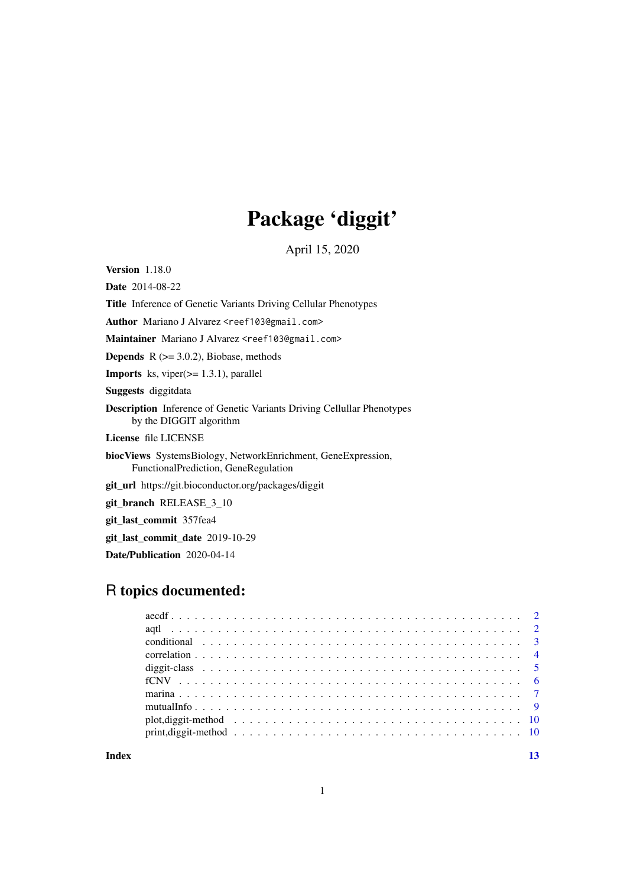## Package 'diggit'

April 15, 2020

Version 1.18.0

Date 2014-08-22

Title Inference of Genetic Variants Driving Cellular Phenotypes

Author Mariano J Alvarez <reef103@gmail.com>

Maintainer Mariano J Alvarez <reef103@gmail.com>

**Depends**  $R$  ( $>= 3.0.2$ ), Biobase, methods

**Imports** ks, viper $(>= 1.3.1)$ , parallel

Suggests diggitdata

Description Inference of Genetic Variants Driving Cellullar Phenotypes by the DIGGIT algorithm

License file LICENSE

biocViews SystemsBiology, NetworkEnrichment, GeneExpression, FunctionalPrediction, GeneRegulation

git\_url https://git.bioconductor.org/packages/diggit

git\_branch RELEASE\_3\_10

git\_last\_commit 357fea4

git\_last\_commit\_date 2019-10-29

Date/Publication 2020-04-14

## R topics documented:

**Index** [13](#page-12-0)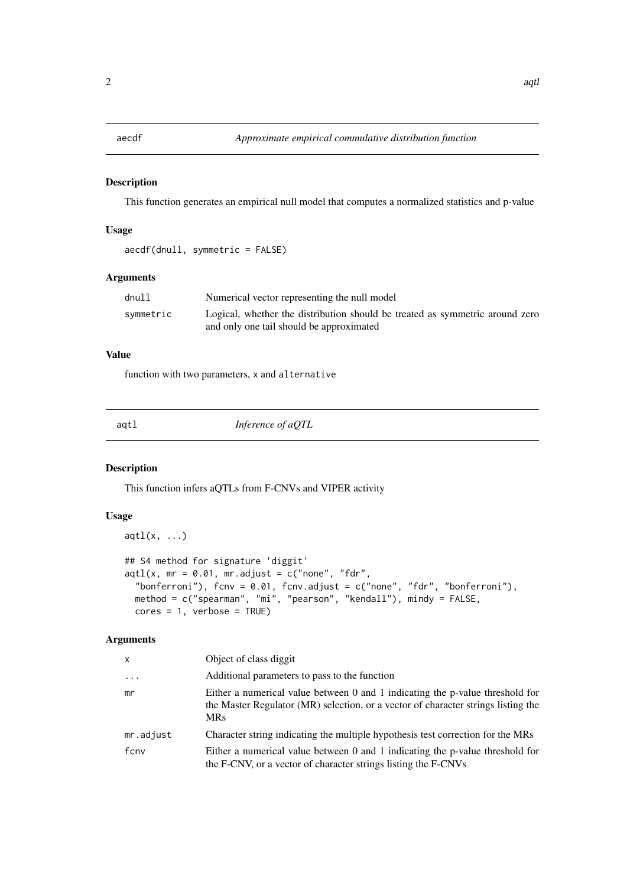<span id="page-1-0"></span>

## Description

This function generates an empirical null model that computes a normalized statistics and p-value

## Usage

```
aecdf(dnull, symmetric = FALSE)
```
#### Arguments

| dnu11     | Numerical vector representing the null model                                 |
|-----------|------------------------------------------------------------------------------|
| symmetric | Logical, whether the distribution should be treated as symmetric around zero |
|           | and only one tail should be approximated                                     |

## Value

function with two parameters, x and alternative

| <br>٠ |  |  |
|-------|--|--|
|-------|--|--|

*Inference of aQTL* 

## Description

This function infers aQTLs from F-CNVs and VIPER activity

## Usage

```
aqtl(x, \ldots)## S4 method for signature 'diggit'
aqtl(x, mr = 0.01, mr.addjust = c("none", "fdr","bonferroni"), fcnv = 0.01, fcnv.adjust = c("none", "fdr", "bonferroni"),method = c("spearman", "mi", "pearson", "kendall"), mindy = FALSE,
 cores = 1, verbose = TRUE)
```

| x         | Object of class diggit                                                                                                                                                           |
|-----------|----------------------------------------------------------------------------------------------------------------------------------------------------------------------------------|
| $\ddots$  | Additional parameters to pass to the function                                                                                                                                    |
| mr        | Either a numerical value between 0 and 1 indicating the p-value threshold for<br>the Master Regulator (MR) selection, or a vector of character strings listing the<br><b>MRs</b> |
| mr.adjust | Character string indicating the multiple hypothesis test correction for the MRs                                                                                                  |
| fcny      | Either a numerical value between 0 and 1 indicating the p-value threshold for<br>the F-CNV, or a vector of character strings listing the F-CNVs                                  |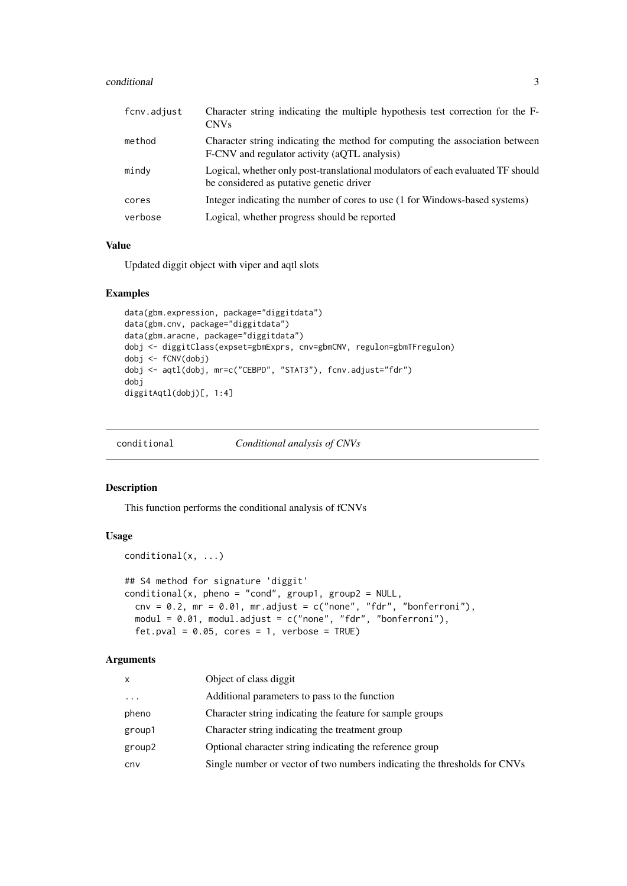#### <span id="page-2-0"></span>conditional 3

| fcnv.adjust | Character string indicating the multiple hypothesis test correction for the F-<br><b>CNVs</b>                                |
|-------------|------------------------------------------------------------------------------------------------------------------------------|
| method      | Character string indicating the method for computing the association between<br>F-CNV and regulator activity (aQTL analysis) |
| mindy       | Logical, whether only post-translational modulators of each evaluated TF should<br>be considered as putative genetic driver  |
| cores       | Integer indicating the number of cores to use (1 for Windows-based systems)                                                  |
| verbose     | Logical, whether progress should be reported                                                                                 |

## Value

Updated diggit object with viper and aqtl slots

## Examples

```
data(gbm.expression, package="diggitdata")
data(gbm.cnv, package="diggitdata")
data(gbm.aracne, package="diggitdata")
dobj <- diggitClass(expset=gbmExprs, cnv=gbmCNV, regulon=gbmTFregulon)
dobj <- fCNV(dobj)
dobj <- aqtl(dobj, mr=c("CEBPD", "STAT3"), fcnv.adjust="fdr")
dobj
diggitAqtl(dobj)[, 1:4]
```
conditional *Conditional analysis of CNVs*

## Description

This function performs the conditional analysis of fCNVs

## Usage

```
conditional(x, ...)
## S4 method for signature 'diggit'
conditional(x, phone = "cond", group1, group2 = NULL,env = 0.2, mr = 0.01, mr.adjust = c("none", "fdr", "bonferroni"),modul = 0.01, modul.adjust = c("none", "fdr", "bonferroni"),fet.pval = 0.05, cores = 1, verbose = TRUE)
```

| x        | Object of class diggit                                                    |
|----------|---------------------------------------------------------------------------|
| $\cdots$ | Additional parameters to pass to the function                             |
| pheno    | Character string indicating the feature for sample groups                 |
| group1   | Character string indicating the treatment group                           |
| group2   | Optional character string indicating the reference group                  |
| cnv      | Single number or vector of two numbers indicating the thresholds for CNVs |
|          |                                                                           |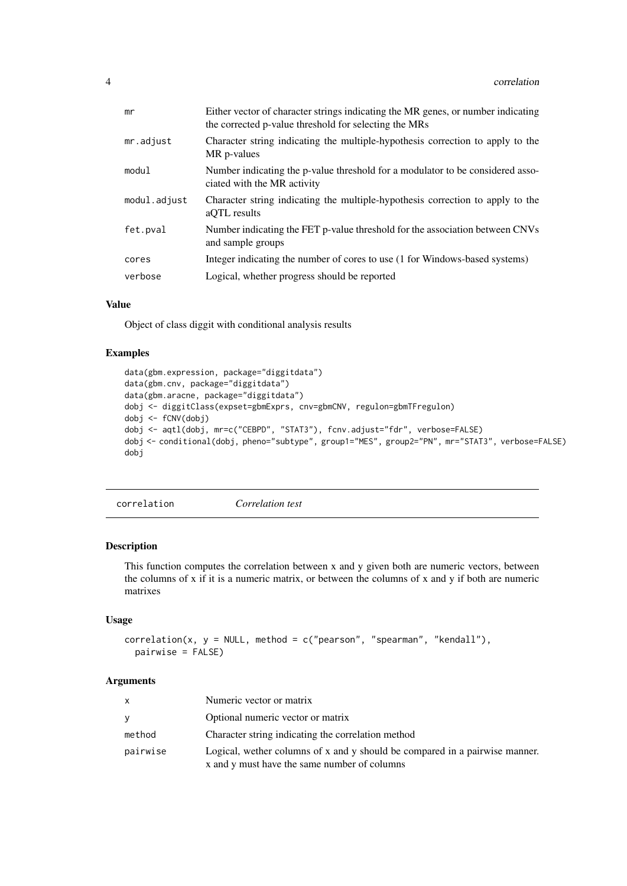<span id="page-3-0"></span>

| mr           | Either vector of character strings indicating the MR genes, or number indicating<br>the corrected p-value threshold for selecting the MRs |
|--------------|-------------------------------------------------------------------------------------------------------------------------------------------|
| mr.adjust    | Character string indicating the multiple-hypothesis correction to apply to the<br>MR p-values                                             |
| modul        | Number indicating the p-value threshold for a modulator to be considered asso-<br>ciated with the MR activity                             |
| modul.adjust | Character string indicating the multiple-hypothesis correction to apply to the<br>aOTL results                                            |
| fet.pval     | Number indicating the FET p-value threshold for the association between CNVs<br>and sample groups                                         |
| cores        | Integer indicating the number of cores to use (1 for Windows-based systems)                                                               |
| verbose      | Logical, whether progress should be reported                                                                                              |
|              |                                                                                                                                           |

## Value

Object of class diggit with conditional analysis results

## Examples

```
data(gbm.expression, package="diggitdata")
data(gbm.cnv, package="diggitdata")
data(gbm.aracne, package="diggitdata")
dobj <- diggitClass(expset=gbmExprs, cnv=gbmCNV, regulon=gbmTFregulon)
dobj <- fCNV(dobj)
dobj <- aqtl(dobj, mr=c("CEBPD", "STAT3"), fcnv.adjust="fdr", verbose=FALSE)
dobj <- conditional(dobj, pheno="subtype", group1="MES", group2="PN", mr="STAT3", verbose=FALSE)
dobj
```
correlation *Correlation test*

## Description

This function computes the correlation between x and y given both are numeric vectors, between the columns of x if it is a numeric matrix, or between the columns of x and y if both are numeric matrixes

### Usage

```
correlation(x, y = NULL, method = c("pearson", "spearman", "kendall"),pairwise = FALSE)
```

|          | Numeric vector or matrix                                                                                                    |
|----------|-----------------------------------------------------------------------------------------------------------------------------|
| v        | Optional numeric vector or matrix                                                                                           |
| method   | Character string indicating the correlation method                                                                          |
| pairwise | Logical, wether columns of x and y should be compared in a pairwise manner.<br>x and y must have the same number of columns |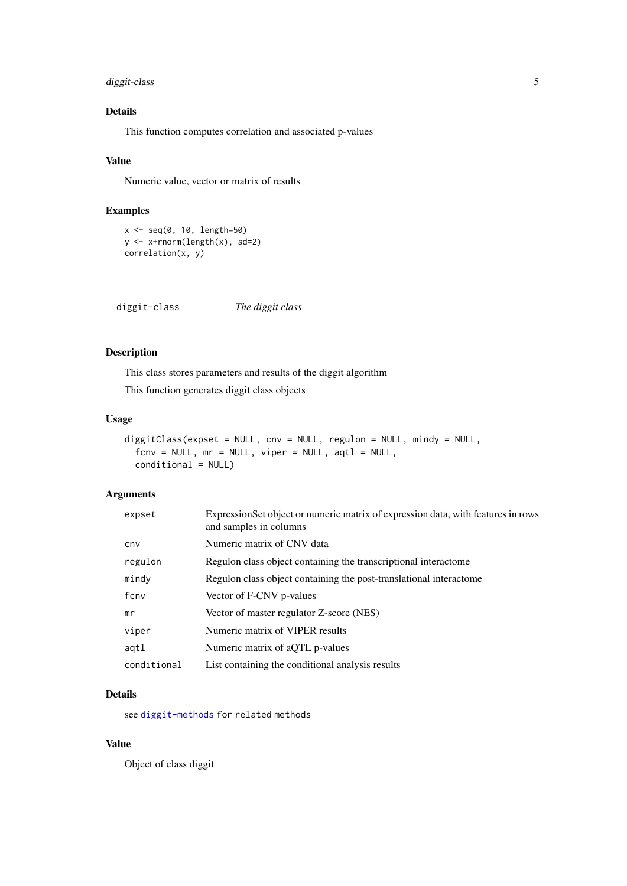## <span id="page-4-0"></span>diggit-class 5

## Details

This function computes correlation and associated p-values

## Value

Numeric value, vector or matrix of results

## Examples

```
x \le - seq(0, 10, length=50)
y <- x+rnorm(length(x), sd=2)
correlation(x, y)
```
diggit-class *The diggit class*

## Description

This class stores parameters and results of the diggit algorithm

This function generates diggit class objects

## Usage

```
diggitClass(expset = NULL, cnv = NULL, regulon = NULL, mindy = NULL,
 fenv = NULL, mr = NULL, viper = NULL, aqtl = NULL,
 conditional = NULL)
```
## Arguments

| expset      | ExpressionSet object or numeric matrix of expression data, with features in rows<br>and samples in columns |
|-------------|------------------------------------------------------------------------------------------------------------|
| cny         | Numeric matrix of CNV data                                                                                 |
| regulon     | Regulon class object containing the transcriptional interactome                                            |
| mindy       | Regulon class object containing the post-translational interactome                                         |
| fcnv        | Vector of F-CNV p-values                                                                                   |
| mr          | Vector of master regulator Z-score (NES)                                                                   |
| viper       | Numeric matrix of VIPER results                                                                            |
| agtl        | Numeric matrix of aQTL p-values                                                                            |
| conditional | List containing the conditional analysis results                                                           |

## Details

see [diggit-methods](#page-9-1) for related methods

## Value

Object of class diggit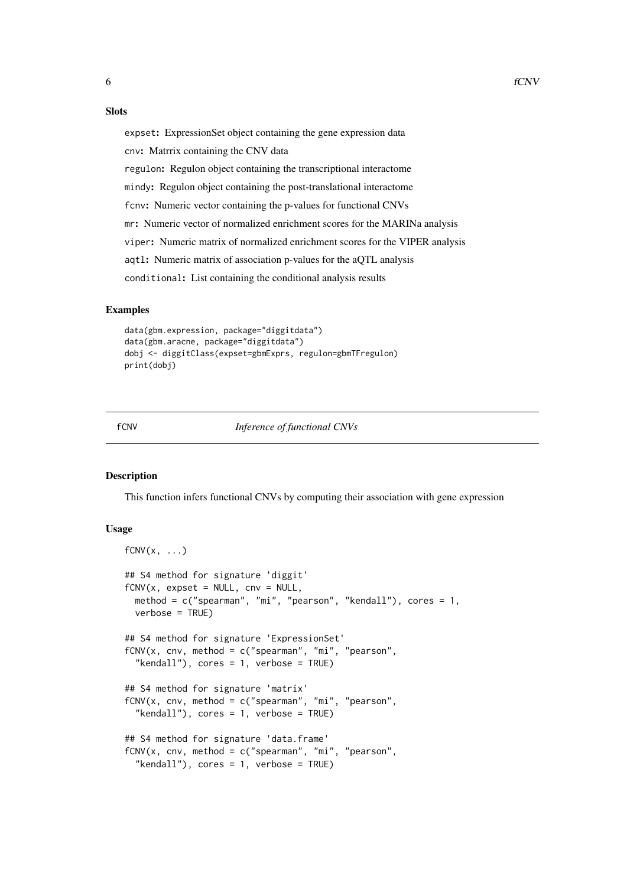## <span id="page-5-0"></span>Slots

expset: ExpressionSet object containing the gene expression data

cnv: Matrrix containing the CNV data

regulon: Regulon object containing the transcriptional interactome

mindy: Regulon object containing the post-translational interactome

fcnv: Numeric vector containing the p-values for functional CNVs

mr: Numeric vector of normalized enrichment scores for the MARINa analysis

viper: Numeric matrix of normalized enrichment scores for the VIPER analysis

aqtl: Numeric matrix of association p-values for the aQTL analysis

conditional: List containing the conditional analysis results

#### Examples

```
data(gbm.expression, package="diggitdata")
data(gbm.aracne, package="diggitdata")
dobj <- diggitClass(expset=gbmExprs, regulon=gbmTFregulon)
print(dobj)
```
fCNV *Inference of functional CNVs*

#### Description

This function infers functional CNVs by computing their association with gene expression

## Usage

```
fCNV(x, \ldots)## S4 method for signature 'diggit'
fCNV(x, expest = NULL, env = NULL,method = c("spearman", "mi", "pearson", "kendall"), cores = 1,
  verbose = TRUE)
## S4 method for signature 'ExpressionSet'
fCNV(x, \text{env}, \text{method} = c("spearman", "mi", "pearson","kendall"), cores = 1, verbose = TRUE)
## S4 method for signature 'matrix'
fCNV(x, \text{env}, \text{method} = c("spearman", "mi", "pearson","kendall"), cores = 1, verbose = TRUE)
## S4 method for signature 'data.frame'
fCNV(x, \text{env}, \text{method} = c("spearman", "mi", "pearson","kendall"), cores = 1, verbose = TRUE)
```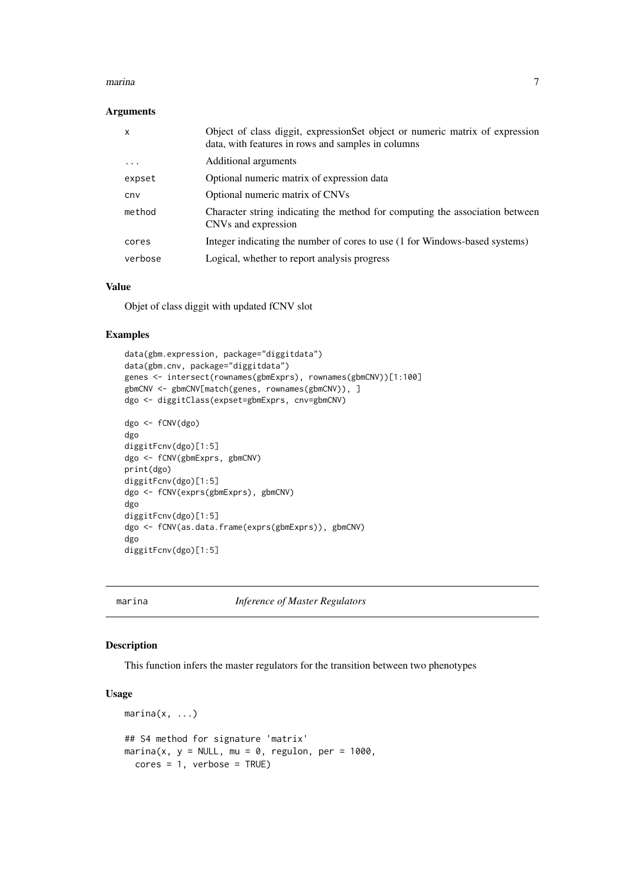#### <span id="page-6-0"></span>marina to the contract of the contract of the contract of the contract of the contract of the contract of the contract of the contract of the contract of the contract of the contract of the contract of the contract of the

#### Arguments

| $\mathsf{x}$ | Object of class diggit, expressionSet object or numeric matrix of expression<br>data, with features in rows and samples in columns |
|--------------|------------------------------------------------------------------------------------------------------------------------------------|
| $\ddotsc$    | Additional arguments                                                                                                               |
| expset       | Optional numeric matrix of expression data                                                                                         |
| cny          | Optional numeric matrix of CNVs                                                                                                    |
| method       | Character string indicating the method for computing the association between<br>CNVs and expression                                |
| cores        | Integer indicating the number of cores to use (1 for Windows-based systems)                                                        |
| verbose      | Logical, whether to report analysis progress                                                                                       |

## Value

Objet of class diggit with updated fCNV slot

#### Examples

```
data(gbm.expression, package="diggitdata")
data(gbm.cnv, package="diggitdata")
genes <- intersect(rownames(gbmExprs), rownames(gbmCNV))[1:100]
gbmCNV <- gbmCNV[match(genes, rownames(gbmCNV)), ]
dgo <- diggitClass(expset=gbmExprs, cnv=gbmCNV)
dgo <- fCNV(dgo)
dgo
diggitFcnv(dgo)[1:5]
dgo <- fCNV(gbmExprs, gbmCNV)
print(dgo)
diggitFcnv(dgo)[1:5]
dgo <- fCNV(exprs(gbmExprs), gbmCNV)
dgo
diggitFcnv(dgo)[1:5]
dgo <- fCNV(as.data.frame(exprs(gbmExprs)), gbmCNV)
dgo
diggitFcnv(dgo)[1:5]
```
marina *Inference of Master Regulators*

## Description

This function infers the master regulators for the transition between two phenotypes

#### Usage

```
marina(x, \ldots)## S4 method for signature 'matrix'
marina(x, y = NULL, mu = 0, regulon, per = 1000,
  cores = 1, verbose = TRUE)
```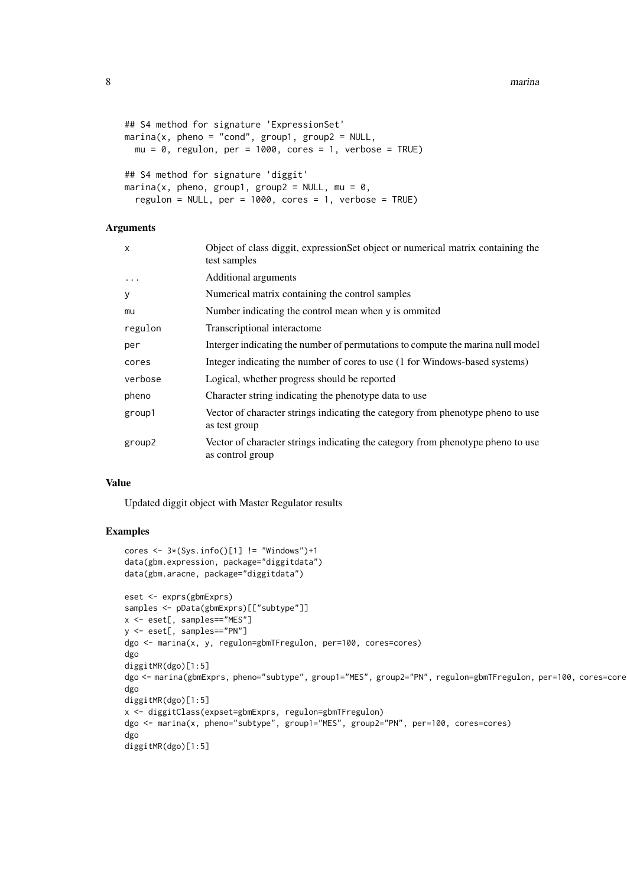```
## S4 method for signature 'ExpressionSet'
marina(x, pheno = "cond", group1, group2 = NULL,mu = 0, regulon, per = 1000, cores = 1, verbose = TRUE)
## S4 method for signature 'diggit'
marina(x, pheno, group1, group2 = NULL, mu = 0,
 regulon = NULL, per = 1000, cores = 1, verbose = TRUE)
```
## Arguments

| $\mathsf{x}$ | Object of class diggit, expressionSet object or numerical matrix containing the<br>test samples     |
|--------------|-----------------------------------------------------------------------------------------------------|
| $\ddotsc$    | Additional arguments                                                                                |
| У            | Numerical matrix containing the control samples                                                     |
| mu           | Number indicating the control mean when y is ommited                                                |
| regulon      | Transcriptional interactome                                                                         |
| per          | Interger indicating the number of permutations to compute the marina null model                     |
| cores        | Integer indicating the number of cores to use (1 for Windows-based systems)                         |
| verbose      | Logical, whether progress should be reported                                                        |
| pheno        | Character string indicating the phenotype data to use                                               |
| group1       | Vector of character strings indicating the category from phenotype pheno to use<br>as test group    |
| group2       | Vector of character strings indicating the category from phenotype pheno to use<br>as control group |

#### Value

Updated diggit object with Master Regulator results

## Examples

```
cores \leq 3*(Sys.info()[1] != "Windows")+1
data(gbm.expression, package="diggitdata")
data(gbm.aracne, package="diggitdata")
eset <- exprs(gbmExprs)
samples <- pData(gbmExprs)[["subtype"]]
x <- eset[, samples=="MES"]
y <- eset[, samples=="PN"]
dgo <- marina(x, y, regulon=gbmTFregulon, per=100, cores=cores)
dgo
diggitMR(dgo)[1:5]
dgo <- marina(gbmExprs, pheno="subtype", group1="MES", group2="PN", regulon=gbmTFregulon, per=100, cores=cores)
dgo
diggitMR(dgo)[1:5]
x <- diggitClass(expset=gbmExprs, regulon=gbmTFregulon)
dgo <- marina(x, pheno="subtype", group1="MES", group2="PN", per=100, cores=cores)
dgo
diggitMR(dgo)[1:5]
```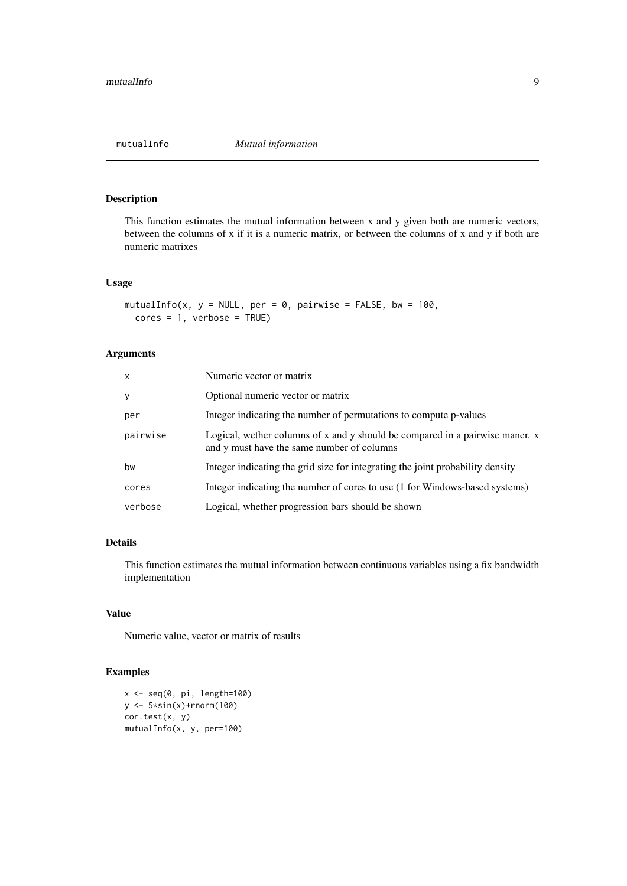<span id="page-8-0"></span>

## Description

This function estimates the mutual information between x and y given both are numeric vectors, between the columns of x if it is a numeric matrix, or between the columns of x and y if both are numeric matrixes

## Usage

```
mutualInfo(x, y = NULL, per = 0, pairwise = FALSE, bw = 100,
  cores = 1, verbose = TRUE)
```
## Arguments

| $\mathsf{x}$ | Numeric vector or matrix                                                                                                   |
|--------------|----------------------------------------------------------------------------------------------------------------------------|
| У            | Optional numeric vector or matrix                                                                                          |
| per          | Integer indicating the number of permutations to compute p-values                                                          |
| pairwise     | Logical, wether columns of x and y should be compared in a pairwise maner. x<br>and y must have the same number of columns |
| bw           | Integer indicating the grid size for integrating the joint probability density                                             |
| cores        | Integer indicating the number of cores to use (1 for Windows-based systems)                                                |
| verbose      | Logical, whether progression bars should be shown                                                                          |

#### Details

This function estimates the mutual information between continuous variables using a fix bandwidth implementation

## Value

Numeric value, vector or matrix of results

## Examples

```
x \leftarrow \text{seq}(0, \text{pi}, \text{length}=100)y <- 5*sin(x)+rnorm(100)
cor.test(x, y)
mutualInfo(x, y, per=100)
```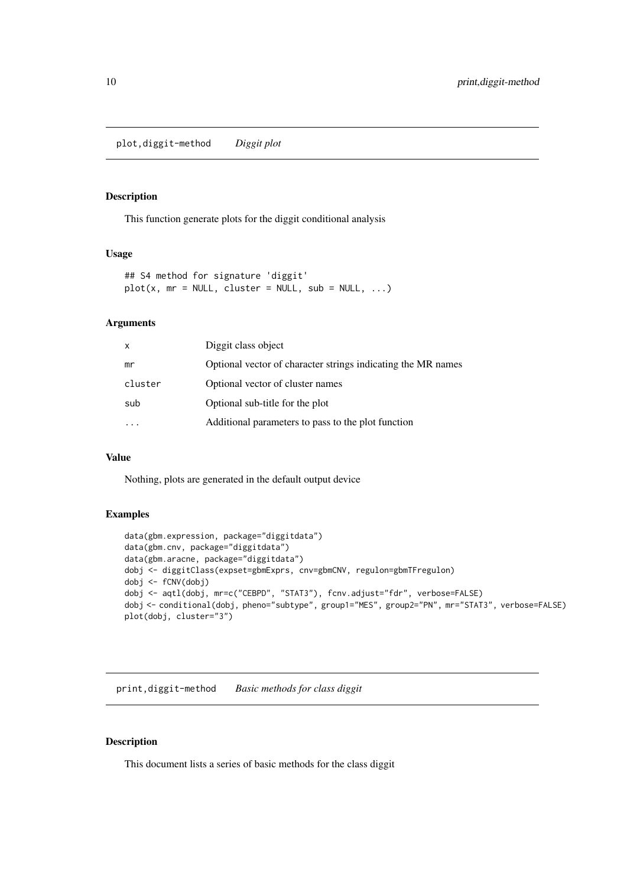<span id="page-9-0"></span>plot,diggit-method *Diggit plot*

## Description

This function generate plots for the diggit conditional analysis

#### Usage

```
## S4 method for signature 'diggit'
plot(x, mr = NULL, cluster = NULL, sub = NULL, ...)
```
## Arguments

| mr<br>cluster<br>Optional vector of cluster names<br>Optional sub-title for the plot<br>sub | x | Diggit class object                                          |
|---------------------------------------------------------------------------------------------|---|--------------------------------------------------------------|
|                                                                                             |   | Optional vector of character strings indicating the MR names |
|                                                                                             |   |                                                              |
|                                                                                             |   |                                                              |
|                                                                                             |   | Additional parameters to pass to the plot function           |

## Value

Nothing, plots are generated in the default output device

## Examples

```
data(gbm.expression, package="diggitdata")
data(gbm.cnv, package="diggitdata")
data(gbm.aracne, package="diggitdata")
dobj <- diggitClass(expset=gbmExprs, cnv=gbmCNV, regulon=gbmTFregulon)
dobj <- fCNV(dobj)
dobj <- aqtl(dobj, mr=c("CEBPD", "STAT3"), fcnv.adjust="fdr", verbose=FALSE)
dobj <- conditional(dobj, pheno="subtype", group1="MES", group2="PN", mr="STAT3", verbose=FALSE)
plot(dobj, cluster="3")
```
print,diggit-method *Basic methods for class diggit*

## <span id="page-9-1"></span>Description

This document lists a series of basic methods for the class diggit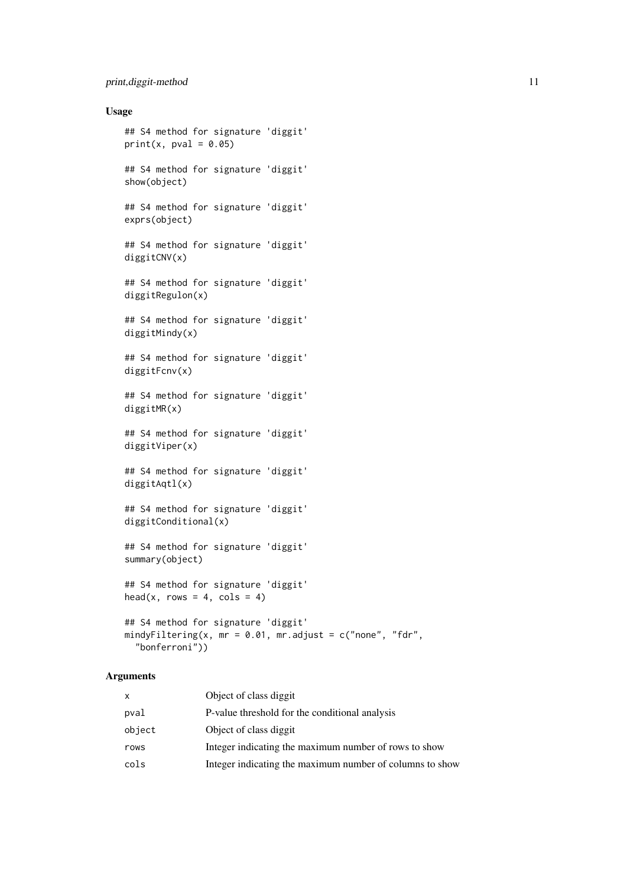#### print,diggit-method 11

#### Usage

```
## S4 method for signature 'diggit'
print(x, pval = 0.05)
## S4 method for signature 'diggit'
show(object)
## S4 method for signature 'diggit'
exprs(object)
## S4 method for signature 'diggit'
diggitCNV(x)
## S4 method for signature 'diggit'
diggitRegulon(x)
## S4 method for signature 'diggit'
diggitMindy(x)
## S4 method for signature 'diggit'
diggitFcnv(x)
## S4 method for signature 'diggit'
diggitMR(x)
## S4 method for signature 'diggit'
diggitViper(x)
## S4 method for signature 'diggit'
diggitAqtl(x)
## S4 method for signature 'diggit'
diggitConditional(x)
## S4 method for signature 'diggit'
summary(object)
## S4 method for signature 'diggit'
head(x, rows = 4, cols = 4)
## S4 method for signature 'diggit'
mindyFiltering(x, mr = 0.01, mr.adjust = c("none", "fdr","bonferroni"))
```

| X      | Object of class diggit                                   |
|--------|----------------------------------------------------------|
| pval   | P-value threshold for the conditional analysis           |
| object | Object of class diggit                                   |
| rows   | Integer indicating the maximum number of rows to show    |
| cols   | Integer indicating the maximum number of columns to show |
|        |                                                          |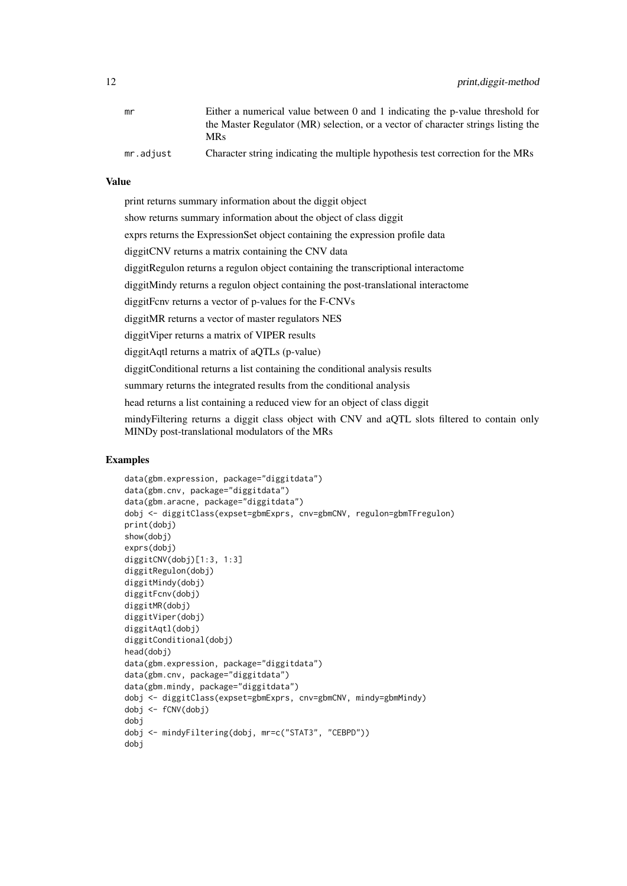| mr        | Either a numerical value between 0 and 1 indicating the p-value threshold for     |
|-----------|-----------------------------------------------------------------------------------|
|           | the Master Regulator (MR) selection, or a vector of character strings listing the |
|           | MRs                                                                               |
| mr.adjust | Character string indicating the multiple hypothesis test correction for the MRs   |

### Value

print returns summary information about the diggit object

show returns summary information about the object of class diggit

exprs returns the ExpressionSet object containing the expression profile data

diggitCNV returns a matrix containing the CNV data

diggitRegulon returns a regulon object containing the transcriptional interactome

diggitMindy returns a regulon object containing the post-translational interactome

diggitFcnv returns a vector of p-values for the F-CNVs

diggitMR returns a vector of master regulators NES

diggitViper returns a matrix of VIPER results

diggitAqtl returns a matrix of aQTLs (p-value)

diggitConditional returns a list containing the conditional analysis results

summary returns the integrated results from the conditional analysis

head returns a list containing a reduced view for an object of class diggit

mindyFiltering returns a diggit class object with CNV and aQTL slots filtered to contain only MINDy post-translational modulators of the MRs

## Examples

```
data(gbm.expression, package="diggitdata")
data(gbm.cnv, package="diggitdata")
data(gbm.aracne, package="diggitdata")
dobj <- diggitClass(expset=gbmExprs, cnv=gbmCNV, regulon=gbmTFregulon)
print(dobj)
show(dobj)
exprs(dobj)
diggitCNV(dobj)[1:3, 1:3]
diggitRegulon(dobj)
diggitMindy(dobj)
diggitFcnv(dobj)
diggitMR(dobj)
diggitViper(dobj)
diggitAqtl(dobj)
diggitConditional(dobj)
head(dobj)
data(gbm.expression, package="diggitdata")
data(gbm.cnv, package="diggitdata")
data(gbm.mindy, package="diggitdata")
dobj <- diggitClass(expset=gbmExprs, cnv=gbmCNV, mindy=gbmMindy)
dobj <- fCNV(dobj)
dobj
dobj <- mindyFiltering(dobj, mr=c("STAT3", "CEBPD"))
dobj
```